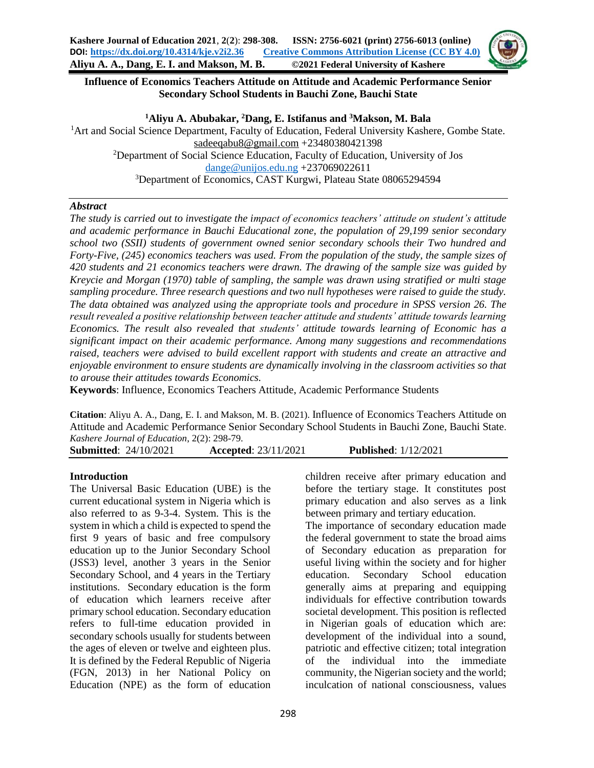

## **Influence of Economics Teachers Attitude on Attitude and Academic Performance Senior Secondary School Students in Bauchi Zone, Bauchi State**

**<sup>1</sup>Aliyu A. Abubakar, <sup>2</sup>Dang, E. Istifanus and <sup>3</sup>Makson, M. Bala** <sup>1</sup>Art and Social Science Department, Faculty of Education, Federal University Kashere, Gombe State. [sadeeqabu8@gmail.com](mailto:sadeeqabu8@gmail.com) +23480380421398 <sup>2</sup>Department of Social Science Education, Faculty of Education, University of Jos [dange@unijos.edu.ng](mailto:dange@unijos.edu.ng) +237069022611 <sup>3</sup>Department of Economics, CAST Kurgwi, Plateau State 08065294594

#### *Abstract*

*The study is carried out to investigate the impact of economics teachers' attitude on student's attitude and academic performance in Bauchi Educational zone, the population of 29,199 senior secondary school two (SSII) students of government owned senior secondary schools their Two hundred and Forty-Five, (245) economics teachers was used. From the population of the study, the sample sizes of 420 students and 21 economics teachers were drawn. The drawing of the sample size was guided by Kreycie and Morgan (1970) table of sampling, the sample was drawn using stratified or multi stage sampling procedure. Three research questions and two null hypotheses were raised to guide the study. The data obtained was analyzed using the appropriate tools and procedure in SPSS version 26. The result revealed a positive relationship between teacher attitude and students' attitude towards learning Economics. The result also revealed that students' attitude towards learning of Economic has a significant impact on their academic performance. Among many suggestions and recommendations raised, teachers were advised to build excellent rapport with students and create an attractive and enjoyable environment to ensure students are dynamically involving in the classroom activities so that to arouse their attitudes towards Economics.*

**Keywords**: Influence, Economics Teachers Attitude, Academic Performance Students

**Citation**: Aliyu A. A., Dang, E. I. and Makson, M. B. (2021). Influence of Economics Teachers Attitude on Attitude and Academic Performance Senior Secondary School Students in Bauchi Zone, Bauchi State. *Kashere Journal of Education*, 2(2): 298-79.

**Submitted**: 24/10/2021 **Accepted**: 23/11/2021 **Published**: 1/12/2021

## **Introduction**

The Universal Basic Education (UBE) is the current educational system in Nigeria which is also referred to as 9-3-4. System. This is the system in which a child is expected to spend the first 9 years of basic and free compulsory education up to the Junior Secondary School (JSS3) level, another 3 years in the Senior Secondary School, and 4 years in the Tertiary institutions. Secondary education is the form of education which learners receive after primary school education. Secondary education refers to full-time education provided in secondary schools usually for students between the ages of eleven or twelve and eighteen plus. It is defined by the Federal Republic of Nigeria (FGN, 2013) in her National Policy on Education (NPE) as the form of education

children receive after primary education and before the tertiary stage. It constitutes post primary education and also serves as a link between primary and tertiary education.

The importance of secondary education made the federal government to state the broad aims of Secondary education as preparation for useful living within the society and for higher education. Secondary School education generally aims at preparing and equipping individuals for effective contribution towards societal development. This position is reflected in Nigerian goals of education which are: development of the individual into a sound, patriotic and effective citizen; total integration of the individual into the immediate community, the Nigerian society and the world; inculcation of national consciousness, values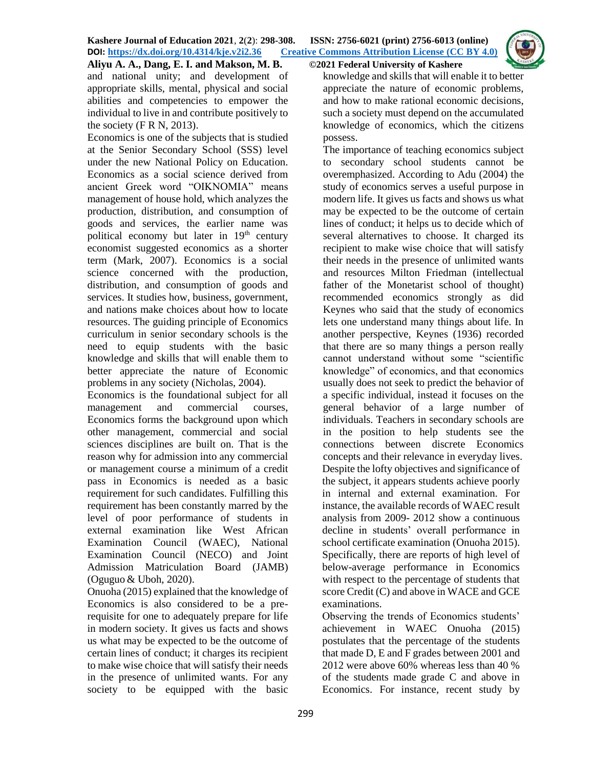**Aliyu A. A., Dang, E. I. and Makson, M. B. ©2021 Federal University of Kashere** and national unity; and development of appropriate skills, mental, physical and social abilities and competencies to empower the individual to live in and contribute positively to the society  $(F R N, 2013)$ .

Economics is one of the subjects that is studied at the Senior Secondary School (SSS) level under the new National Policy on Education. Economics as a social science derived from ancient Greek word "OIKNOMIA" means management of house hold, which analyzes the production, distribution, and consumption of goods and services, the earlier name was political economy but later in  $19<sup>th</sup>$  century economist suggested economics as a shorter term (Mark, 2007). Economics is a social science concerned with the production, distribution, and consumption of goods and services. It studies how, business, government, and nations make choices about how to locate resources. The guiding principle of Economics curriculum in senior secondary schools is the need to equip students with the basic knowledge and skills that will enable them to better appreciate the nature of Economic problems in any society (Nicholas, 2004).

Economics is the foundational subject for all management and commercial courses, Economics forms the background upon which other management, commercial and social sciences disciplines are built on. That is the reason why for admission into any commercial or management course a minimum of a credit pass in Economics is needed as a basic requirement for such candidates. Fulfilling this requirement has been constantly marred by the level of poor performance of students in external examination like West African Examination Council (WAEC), National Examination Council (NECO) and Joint Admission Matriculation Board (JAMB) (Oguguo & Uboh, 2020).

Onuoha (2015) explained that the knowledge of Economics is also considered to be a prerequisite for one to adequately prepare for life in modern society. It gives us facts and shows us what may be expected to be the outcome of certain lines of conduct; it charges its recipient to make wise choice that will satisfy their needs in the presence of unlimited wants. For any society to be equipped with the basic

knowledge and skills that will enable it to better appreciate the nature of economic problems, and how to make rational economic decisions, such a society must depend on the accumulated knowledge of economics, which the citizens possess.

The importance of teaching economics subject to secondary school students cannot be overemphasized. According to Adu (2004) the study of economics serves a useful purpose in modern life. It gives us facts and shows us what may be expected to be the outcome of certain lines of conduct; it helps us to decide which of several alternatives to choose. It charged its recipient to make wise choice that will satisfy their needs in the presence of unlimited wants and resources Milton Friedman (intellectual father of the Monetarist school of thought) recommended economics strongly as did Keynes who said that the study of economics lets one understand many things about life. In another perspective, Keynes (1936) recorded that there are so many things a person really cannot understand without some "scientific knowledge" of economics, and that economics usually does not seek to predict the behavior of a specific individual, instead it focuses on the general behavior of a large number of individuals. Teachers in secondary schools are in the position to help students see the connections between discrete Economics concepts and their relevance in everyday lives. Despite the lofty objectives and significance of the subject, it appears students achieve poorly in internal and external examination. For instance, the available records of WAEC result analysis from 2009- 2012 show a continuous decline in students' overall performance in school certificate examination (Onuoha 2015). Specifically, there are reports of high level of below-average performance in Economics with respect to the percentage of students that score Credit (C) and above in WACE and GCE examinations.

Observing the trends of Economics students' achievement in WAEC Onuoha (2015) postulates that the percentage of the students that made D, E and F grades between 2001 and 2012 were above 60% whereas less than 40 % of the students made grade C and above in Economics. For instance, recent study by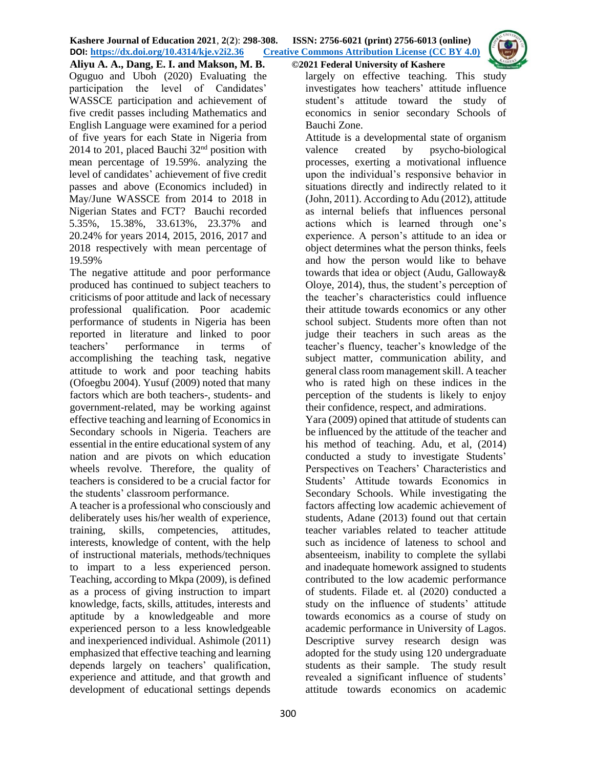

**Aliyu A. A., Dang, E. I. and Makson, M. B. ©2021 Federal University of Kashere** Oguguo and Uboh (2020) Evaluating the participation the level of Candidates' WASSCE participation and achievement of five credit passes including Mathematics and English Language were examined for a period of five years for each State in Nigeria from 2014 to 201, placed Bauchi  $32<sup>nd</sup>$  position with mean percentage of 19.59%. analyzing the level of candidates' achievement of five credit passes and above (Economics included) in May/June WASSCE from 2014 to 2018 in Nigerian States and FCT? Bauchi recorded 5.35%, 15.38%, 33.613%, 23.37% and 20.24% for years 2014, 2015, 2016, 2017 and 2018 respectively with mean percentage of 19.59%

The negative attitude and poor performance produced has continued to subject teachers to criticisms of poor attitude and lack of necessary professional qualification. Poor academic performance of students in Nigeria has been reported in literature and linked to poor teachers' performance in terms of accomplishing the teaching task, negative attitude to work and poor teaching habits (Ofoegbu 2004). Yusuf (2009) noted that many factors which are both teachers-, students- and government-related, may be working against effective teaching and learning of Economics in Secondary schools in Nigeria. Teachers are essential in the entire educational system of any nation and are pivots on which education wheels revolve. Therefore, the quality of teachers is considered to be a crucial factor for the students' classroom performance.

A teacher is a professional who consciously and deliberately uses his/her wealth of experience, training, skills, competencies, attitudes, interests, knowledge of content, with the help of instructional materials, methods/techniques to impart to a less experienced person. Teaching, according to Mkpa (2009), is defined as a process of giving instruction to impart knowledge, facts, skills, attitudes, interests and aptitude by a knowledgeable and more experienced person to a less knowledgeable and inexperienced individual. Ashimole (2011) emphasized that effective teaching and learning depends largely on teachers' qualification, experience and attitude, and that growth and development of educational settings depends

largely on effective teaching. This study investigates how teachers' attitude influence student's attitude toward the study of economics in senior secondary Schools of Bauchi Zone.

Attitude is a developmental state of organism valence created by psycho-biological processes, exerting a motivational influence upon the individual's responsive behavior in situations directly and indirectly related to it (John, 2011). According to Adu (2012), attitude as internal beliefs that influences personal actions which is learned through one's experience. A person's attitude to an idea or object determines what the person thinks, feels and how the person would like to behave towards that idea or object (Audu, Galloway& Oloye, 2014), thus, the student's perception of the teacher's characteristics could influence their attitude towards economics or any other school subject. Students more often than not judge their teachers in such areas as the teacher's fluency, teacher's knowledge of the subject matter, communication ability, and general class room management skill. A teacher who is rated high on these indices in the perception of the students is likely to enjoy their confidence, respect, and admirations.

Yara (2009) opined that attitude of students can be influenced by the attitude of the teacher and his method of teaching. Adu, et al, (2014) conducted a study to investigate Students' Perspectives on Teachers' Characteristics and Students' Attitude towards Economics in Secondary Schools. While investigating the factors affecting low academic achievement of students, Adane (2013) found out that certain teacher variables related to teacher attitude such as incidence of lateness to school and absenteeism, inability to complete the syllabi and inadequate homework assigned to students contributed to the low academic performance of students. Filade et. al (2020) conducted a study on the influence of students' attitude towards economics as a course of study on academic performance in University of Lagos. Descriptive survey research design was adopted for the study using 120 undergraduate students as their sample. The study result revealed a significant influence of students' attitude towards economics on academic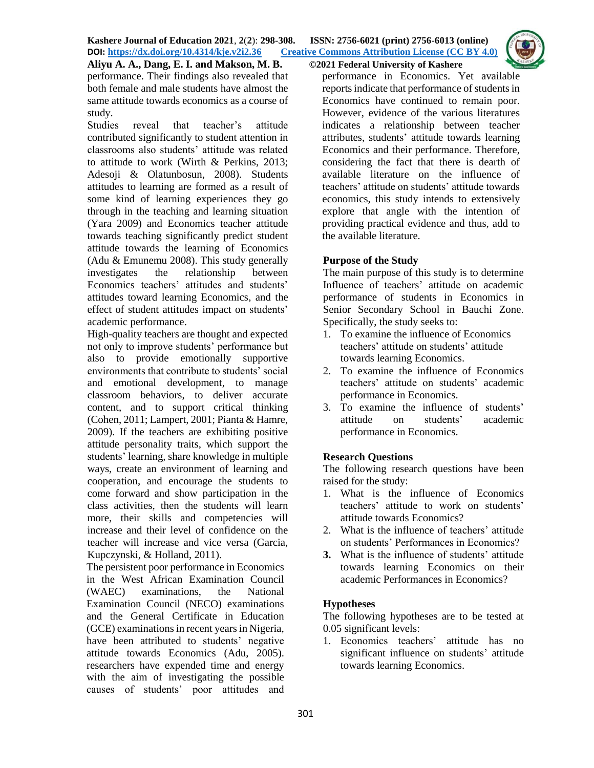

**Aliyu A. A., Dang, E. I. and Makson, M. B. ©2021 Federal University of Kashere** performance. Their findings also revealed that both female and male students have almost the same attitude towards economics as a course of study.

Studies reveal that teacher's attitude contributed significantly to student attention in classrooms also students' attitude was related to attitude to work (Wirth & Perkins, 2013; Adesoji & Olatunbosun, 2008). Students attitudes to learning are formed as a result of some kind of learning experiences they go through in the teaching and learning situation (Yara 2009) and Economics teacher attitude towards teaching significantly predict student attitude towards the learning of Economics (Adu & Emunemu 2008). This study generally investigates the relationship between Economics teachers' attitudes and students' attitudes toward learning Economics, and the effect of student attitudes impact on students' academic performance.

High-quality teachers are thought and expected not only to improve students' performance but also to provide emotionally supportive environments that contribute to students' social and emotional development, to manage classroom behaviors, to deliver accurate content, and to support critical thinking (Cohen, 2011; Lampert, 2001; Pianta & Hamre, 2009). If the teachers are exhibiting positive attitude personality traits, which support the students' learning, share knowledge in multiple ways, create an environment of learning and cooperation, and encourage the students to come forward and show participation in the class activities, then the students will learn more, their skills and competencies will increase and their level of confidence on the teacher will increase and vice versa (Garcia, Kupczynski, & Holland, 2011).

The persistent poor performance in Economics in the West African Examination Council (WAEC) examinations, the National Examination Council (NECO) examinations and the General Certificate in Education (GCE) examinations in recent years in Nigeria, have been attributed to students' negative attitude towards Economics (Adu, 2005). researchers have expended time and energy with the aim of investigating the possible causes of students' poor attitudes and

performance in Economics. Yet available reports indicate that performance of students in Economics have continued to remain poor. However, evidence of the various literatures indicates a relationship between teacher attributes, students' attitude towards learning Economics and their performance. Therefore, considering the fact that there is dearth of available literature on the influence of teachers' attitude on students' attitude towards economics, this study intends to extensively explore that angle with the intention of providing practical evidence and thus, add to the available literature.

## **Purpose of the Study**

The main purpose of this study is to determine Influence of teachers' attitude on academic performance of students in Economics in Senior Secondary School in Bauchi Zone. Specifically, the study seeks to:

- 1. To examine the influence of Economics teachers' attitude on students' attitude towards learning Economics.
- 2. To examine the influence of Economics teachers' attitude on students' academic performance in Economics.
- 3. To examine the influence of students' attitude on students' academic performance in Economics.

## **Research Questions**

The following research questions have been raised for the study:

- 1. What is the influence of Economics teachers' attitude to work on students' attitude towards Economics?
- 2. What is the influence of teachers' attitude on students' Performances in Economics?
- **3.** What is the influence of students' attitude towards learning Economics on their academic Performances in Economics?

## **Hypotheses**

The following hypotheses are to be tested at 0.05 significant levels:

1. Economics teachers' attitude has no significant influence on students' attitude towards learning Economics.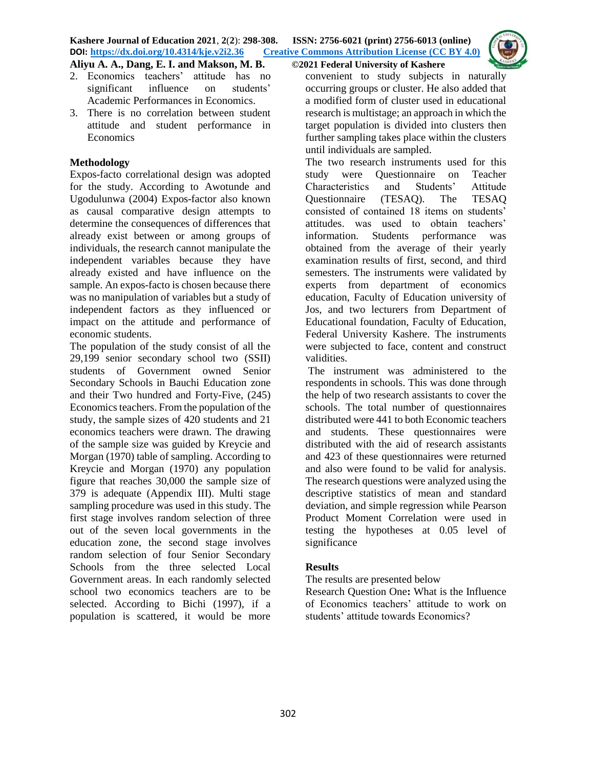

**Aliyu A. A., Dang, E. I. and Makson, M. B. ©2021 Federal University of Kashere**

- 2. Economics teachers' attitude has no significant influence on students' Academic Performances in Economics.
- 3. There is no correlation between student attitude and student performance in Economics

## **Methodology**

Expos-facto correlational design was adopted for the study. According to Awotunde and Ugodulunwa (2004) Expos-factor also known as causal comparative design attempts to determine the consequences of differences that already exist between or among groups of individuals, the research cannot manipulate the independent variables because they have already existed and have influence on the sample. An expos-facto is chosen because there was no manipulation of variables but a study of independent factors as they influenced or impact on the attitude and performance of economic students.

The population of the study consist of all the 29,199 senior secondary school two (SSII) students of Government owned Senior Secondary Schools in Bauchi Education zone and their Two hundred and Forty-Five, (245) Economics teachers. From the population of the study, the sample sizes of 420 students and 21 economics teachers were drawn. The drawing of the sample size was guided by Kreycie and Morgan (1970) table of sampling. According to Kreycie and Morgan (1970) any population figure that reaches 30,000 the sample size of 379 is adequate (Appendix III). Multi stage sampling procedure was used in this study. The first stage involves random selection of three out of the seven local governments in the education zone, the second stage involves random selection of four Senior Secondary Schools from the three selected Local Government areas. In each randomly selected school two economics teachers are to be selected. According to Bichi (1997), if a population is scattered, it would be more

convenient to study subjects in naturally occurring groups or cluster. He also added that a modified form of cluster used in educational research is multistage; an approach in which the target population is divided into clusters then further sampling takes place within the clusters until individuals are sampled.

The two research instruments used for this study were Questionnaire on Teacher Characteristics and Students' Attitude Questionnaire (TESAQ). The TESAQ consisted of contained 18 items on students' attitudes. was used to obtain teachers' information. Students performance was obtained from the average of their yearly examination results of first, second, and third semesters. The instruments were validated by experts from department of economics education, Faculty of Education university of Jos, and two lecturers from Department of Educational foundation, Faculty of Education, Federal University Kashere. The instruments were subjected to face, content and construct validities.

The instrument was administered to the respondents in schools. This was done through the help of two research assistants to cover the schools. The total number of questionnaires distributed were 441 to both Economic teachers and students. These questionnaires were distributed with the aid of research assistants and 423 of these questionnaires were returned and also were found to be valid for analysis. The research questions were analyzed using the descriptive statistics of mean and standard deviation, and simple regression while Pearson Product Moment Correlation were used in testing the hypotheses at 0.05 level of significance

## **Results**

The results are presented below

Research Question One**:** What is the Influence of Economics teachers' attitude to work on students' attitude towards Economics?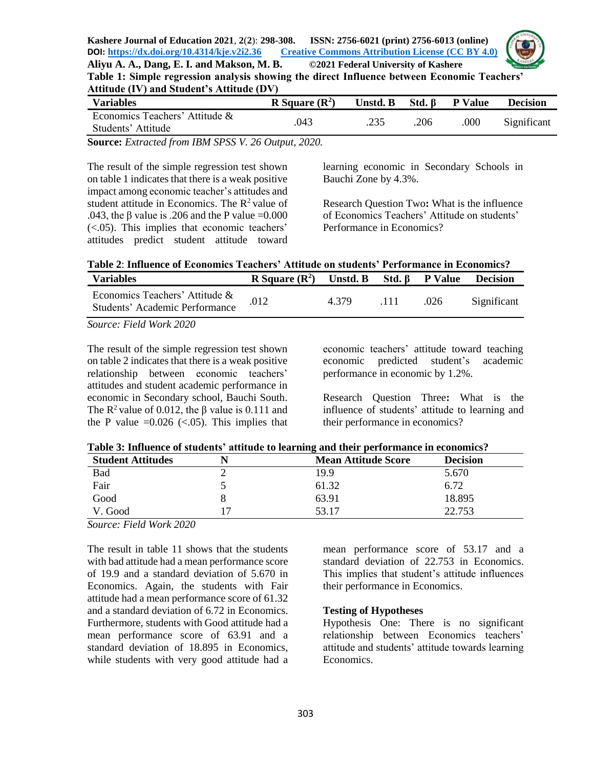

**Table 1: Simple regression analysis showing the direct Influence between Economic Teachers' Attitude (IV) and Student's Attitude (DV)**

| <b>Variables</b>                                     | R Square $(R^2)$ | Unstd. B | $Std. \beta$ | <b>P</b> Value | <b>Decision</b> |
|------------------------------------------------------|------------------|----------|--------------|----------------|-----------------|
| Economics Teachers' Attitude &<br>Students' Attitude | .043             |          | .206         | .000           | Significant     |

**Source:** *Extracted from IBM SPSS V. 26 Output, 2020.*

The result of the simple regression test shown on table 1 indicates that there is a weak positive impact among economic teacher's attitudes and student attitude in Economics. The  $R^2$  value of .043, the  $\beta$  value is .206 and the P value =0.000 (<.05). This implies that economic teachers' attitudes predict student attitude toward learning economic in Secondary Schools in Bauchi Zone by 4.3%.

Research Question Two**:** What is the influence of Economics Teachers' Attitude on students' Performance in Economics?

| Table 2: Influence of Economics Teachers' Attitude on students' Performance in Economics? |
|-------------------------------------------------------------------------------------------|
|                                                                                           |

| <b>Variables</b>                                                        | R Square $(R^2)$ | Unstd. B Std. $\beta$ P Value |      |      | <b>Decision</b> |
|-------------------------------------------------------------------------|------------------|-------------------------------|------|------|-----------------|
| Economics Teachers' Attitude &<br><b>Students' Academic Performance</b> | .012             | 4 379                         | .111 | .026 | Significant     |
| Source: Field Work 2020                                                 |                  |                               |      |      |                 |

*Source: Field Work 2020*

The result of the simple regression test shown on table 2 indicates that there is a weak positive relationship between economic teachers' attitudes and student academic performance in economic in Secondary school, Bauchi South. The  $\mathbb{R}^2$  value of 0.012, the  $\beta$  value is 0.111 and the P value  $=0.026$  (<.05). This implies that economic teachers' attitude toward teaching economic predicted student's academic performance in economic by 1.2%.

Research Question Three**:** What is the influence of students' attitude to learning and their performance in economics?

|  | Table 3: Influence of students' attitude to learning and their performance in economics? |  |
|--|------------------------------------------------------------------------------------------|--|
|--|------------------------------------------------------------------------------------------|--|

| <b>Student Attitudes</b>                     | <b>Mean Attitude Score</b> | <b>Decision</b> |
|----------------------------------------------|----------------------------|-----------------|
| Bad                                          | 19.9                       | 5.670           |
| Fair                                         | 61.32                      | 6.72            |
| Good                                         | 63.91                      | 18.895          |
| V. Good                                      | 53.17                      | 22.753          |
| .<br>$\mathbf{r}$ and $\mathbf{r}$<br>$\sim$ |                            |                 |

*Source: Field Work 2020*

The result in table 11 shows that the students with bad attitude had a mean performance score of 19.9 and a standard deviation of 5.670 in Economics. Again, the students with Fair attitude had a mean performance score of 61.32 and a standard deviation of 6.72 in Economics. Furthermore, students with Good attitude had a mean performance score of 63.91 and a standard deviation of 18.895 in Economics, while students with very good attitude had a

mean performance score of 53.17 and a standard deviation of 22.753 in Economics. This implies that student's attitude influences their performance in Economics.

## **Testing of Hypotheses**

Hypothesis One: There is no significant relationship between Economics teachers' attitude and students' attitude towards learning Economics.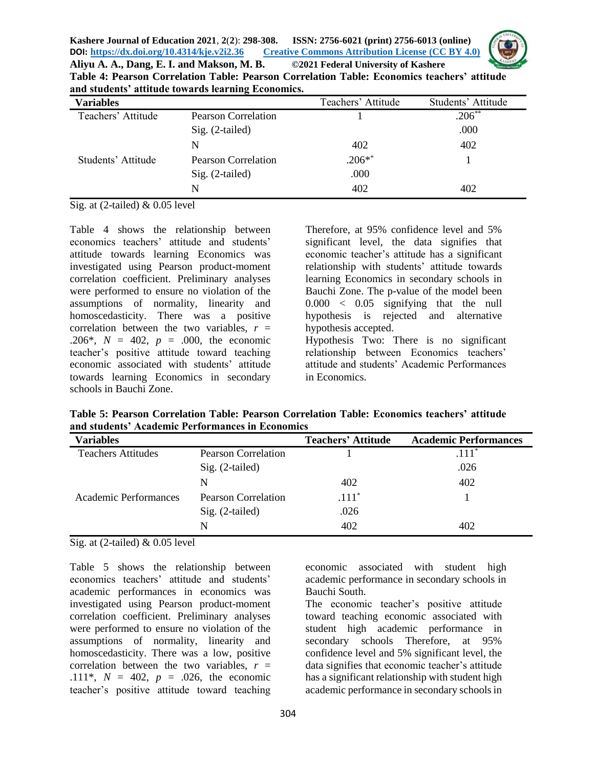

**Aliyu A. A., Dang, E. I. and Makson, M. B. ©2021 Federal University of Kashere Table 4: Pearson Correlation Table: Pearson Correlation Table: Economics teachers' attitude and students' attitude towards learning Economics.**

| <b>Variables</b>   |                            | Teachers' Attitude | Students' Attitude |
|--------------------|----------------------------|--------------------|--------------------|
| Teachers' Attitude | <b>Pearson Correlation</b> |                    | $.206**$           |
|                    | Sig. (2-tailed)            |                    | .000               |
|                    | N                          | 402                | 402                |
| Students' Attitude | <b>Pearson Correlation</b> | $.206**$           |                    |
|                    | $Sig. (2-tailed)$          | .000               |                    |
|                    | N                          | 402                | 402                |

Sig. at (2-tailed) & 0.05 level

Table 4 shows the relationship between economics teachers' attitude and students' attitude towards learning Economics was investigated using Pearson product-moment correlation coefficient. Preliminary analyses were performed to ensure no violation of the assumptions of normality, linearity and homoscedasticity. There was a positive correlation between the two variables,  $r =$ .206\*,  $N = 402$ ,  $p = .000$ , the economic teacher's positive attitude toward teaching economic associated with students' attitude towards learning Economics in secondary schools in Bauchi Zone.

Therefore, at 95% confidence level and 5% significant level, the data signifies that economic teacher's attitude has a significant relationship with students' attitude towards learning Economics in secondary schools in Bauchi Zone. The p-value of the model been 0.000 < 0.05 signifying that the null hypothesis is rejected and alternative hypothesis accepted.

Hypothesis Two: There is no significant relationship between Economics teachers' attitude and students' Academic Performances in Economics.

**Table 5: Pearson Correlation Table: Pearson Correlation Table: Economics teachers' attitude and students' Academic Performances in Economics**

| Variables                    |                            | <b>Teachers' Attitude</b> | <b>Academic Performances</b> |
|------------------------------|----------------------------|---------------------------|------------------------------|
| <b>Teachers Attitudes</b>    | <b>Pearson Correlation</b> |                           | $.111*$                      |
|                              | $Sig. (2-tailed)$          |                           | .026                         |
|                              | N                          | 402                       | 402                          |
| <b>Academic Performances</b> | Pearson Correlation        | $.111*$                   |                              |
|                              | $Sig. (2-tailed)$          | .026                      |                              |
|                              | N                          | 402                       | 402                          |

Sig. at (2-tailed) & 0.05 level

Table 5 shows the relationship between economics teachers' attitude and students' academic performances in economics was investigated using Pearson product-moment correlation coefficient. Preliminary analyses were performed to ensure no violation of the assumptions of normality, linearity and homoscedasticity. There was a low, positive correlation between the two variables, *r* = .111\*,  $N = 402$ ,  $p = .026$ , the economic teacher's positive attitude toward teaching

economic associated with student high academic performance in secondary schools in Bauchi South.

The economic teacher's positive attitude toward teaching economic associated with student high academic performance in secondary schools Therefore, at 95% confidence level and 5% significant level, the data signifies that economic teacher's attitude has a significant relationship with student high academic performance in secondary schools in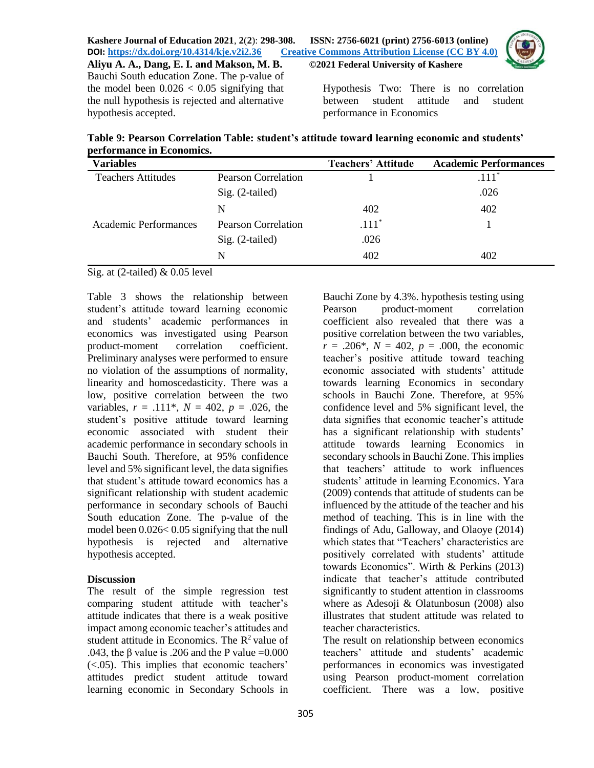Hypothesis Two: There is no correlation between student attitude and student performance in Economics

**Table 9: Pearson Correlation Table: student's attitude toward learning economic and students' performance in Economics.**

| <b>Variables</b>          |                     | <b>Teachers' Attitude</b> | <b>Academic Performances</b> |
|---------------------------|---------------------|---------------------------|------------------------------|
| <b>Teachers Attitudes</b> | Pearson Correlation |                           | $.111*$                      |
|                           | $Sig. (2-tailed)$   |                           | .026                         |
|                           | N                   | 402                       | 402                          |
| Academic Performances     | Pearson Correlation | $.111*$                   |                              |
|                           | $Sig. (2-tailed)$   | .026                      |                              |
|                           | N                   | 402                       | 402                          |

Sig. at  $(2$ -tailed) & 0.05 level

hypothesis accepted.

Bauchi South education Zone. The p-value of the model been  $0.026 < 0.05$  signifying that the null hypothesis is rejected and alternative

Table 3 shows the relationship between student's attitude toward learning economic and students' academic performances in economics was investigated using Pearson product-moment correlation coefficient. Preliminary analyses were performed to ensure no violation of the assumptions of normality, linearity and homoscedasticity. There was a low, positive correlation between the two variables,  $r = .111^*$ ,  $N = 402$ ,  $p = .026$ , the student's positive attitude toward learning economic associated with student their academic performance in secondary schools in Bauchi South. Therefore, at 95% confidence level and 5% significant level, the data signifies that student's attitude toward economics has a significant relationship with student academic performance in secondary schools of Bauchi South education Zone. The p-value of the model been 0.026< 0.05 signifying that the null hypothesis is rejected and alternative hypothesis accepted.

## **Discussion**

The result of the simple regression test comparing student attitude with teacher's attitude indicates that there is a weak positive impact among economic teacher's attitudes and student attitude in Economics. The  $R^2$  value of .043, the  $\beta$  value is .206 and the P value =0.000 (<.05). This implies that economic teachers' attitudes predict student attitude toward learning economic in Secondary Schools in

Bauchi Zone by 4.3%. hypothesis testing using Pearson product-moment correlation coefficient also revealed that there was a positive correlation between the two variables,  $r = .206^*$ ,  $N = 402$ ,  $p = .000$ , the economic teacher's positive attitude toward teaching economic associated with students' attitude towards learning Economics in secondary schools in Bauchi Zone. Therefore, at 95% confidence level and 5% significant level, the data signifies that economic teacher's attitude has a significant relationship with students' attitude towards learning Economics in secondary schools in Bauchi Zone. This implies that teachers' attitude to work influences students' attitude in learning Economics. Yara (2009) contends that attitude of students can be influenced by the attitude of the teacher and his method of teaching. This is in line with the findings of Adu, Galloway, and Olaoye (2014) which states that "Teachers' characteristics are positively correlated with students' attitude towards Economics". Wirth & Perkins (2013) indicate that teacher's attitude contributed significantly to student attention in classrooms where as Adesoji & Olatunbosun (2008) also illustrates that student attitude was related to teacher characteristics.

The result on relationship between economics teachers' attitude and students' academic performances in economics was investigated using Pearson product-moment correlation coefficient. There was a low, positive

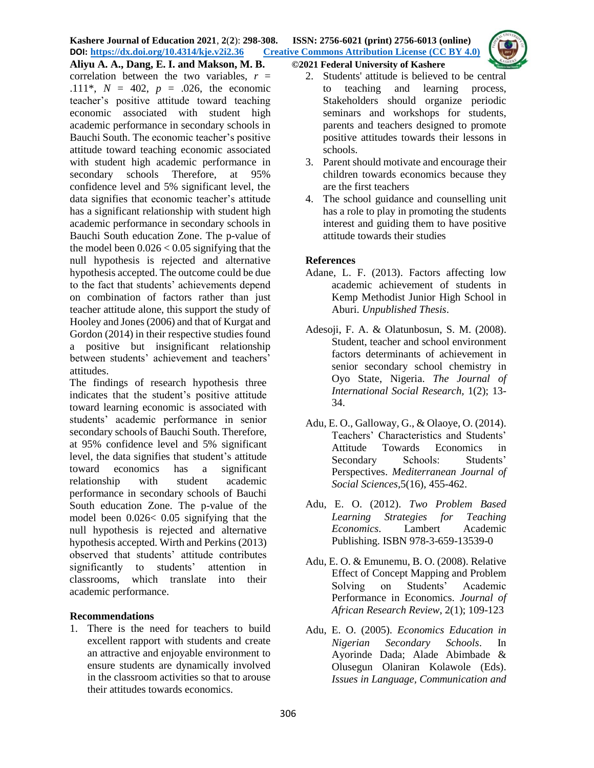

**Aliyu A. A., Dang, E. I. and Makson, M. B. ©2021 Federal University of Kashere** correlation between the two variables,  $r =$ .111\*,  $N = 402$ ,  $p = .026$ , the economic teacher's positive attitude toward teaching economic associated with student high academic performance in secondary schools in Bauchi South. The economic teacher's positive attitude toward teaching economic associated with student high academic performance in secondary schools Therefore, at 95% confidence level and 5% significant level, the data signifies that economic teacher's attitude has a significant relationship with student high academic performance in secondary schools in Bauchi South education Zone. The p-value of the model been  $0.026 < 0.05$  signifying that the null hypothesis is rejected and alternative hypothesis accepted. The outcome could be due to the fact that students' achievements depend on combination of factors rather than just teacher attitude alone, this support the study of Hooley and Jones (2006) and that of Kurgat and Gordon (2014) in their respective studies found a positive but insignificant relationship between students' achievement and teachers' attitudes.

The findings of research hypothesis three indicates that the student's positive attitude toward learning economic is associated with students' academic performance in senior secondary schools of Bauchi South. Therefore, at 95% confidence level and 5% significant level, the data signifies that student's attitude toward economics has a significant relationship with student academic performance in secondary schools of Bauchi South education Zone. The p-value of the model been 0.026< 0.05 signifying that the null hypothesis is rejected and alternative hypothesis accepted. Wirth and Perkins (2013) observed that students' attitude contributes significantly to students' attention in classrooms, which translate into their academic performance.

## **Recommendations**

1. There is the need for teachers to build excellent rapport with students and create an attractive and enjoyable environment to ensure students are dynamically involved in the classroom activities so that to arouse their attitudes towards economics.

- 2. Students' attitude is believed to be central to teaching and learning process, Stakeholders should organize periodic seminars and workshops for students, parents and teachers designed to promote positive attitudes towards their lessons in schools.
- 3. Parent should motivate and encourage their children towards economics because they are the first teachers
- 4. The school guidance and counselling unit has a role to play in promoting the students interest and guiding them to have positive attitude towards their studies

# **References**

- Adane, L. F. (2013). Factors affecting low academic achievement of students in Kemp Methodist Junior High School in Aburi. *Unpublished Thesis*.
- Adesoji, F. A. & Olatunbosun, S. M. (2008). Student, teacher and school environment factors determinants of achievement in senior secondary school chemistry in Oyo State, Nigeria. *The Journal of International Social Research,* 1(2); 13- 34.
- Adu, E. O., Galloway, G., & Olaoye, O. (2014). Teachers' Characteristics and Students' Attitude Towards Economics in Secondary Schools: Students' Perspectives. *Mediterranean Journal of Social Sciences,*5(16), 455-462.
- Adu, E. O. (2012). *Two Problem Based Learning Strategies for Teaching Economics*. Lambert Academic Publishing. ISBN 978-3-659-13539-0
- Adu, E. O. & Emunemu, B. O. (2008). Relative Effect of Concept Mapping and Problem Solving on Students' Academic Performance in Economics. *Journal of African Research Review*, 2(1); 109-123
- Adu, E. O. (2005). *Economics Education in Nigerian Secondary Schools*. In Ayorinde Dada; Alade Abimbade & Olusegun Olaniran Kolawole (Eds). *Issues in Language, Communication and*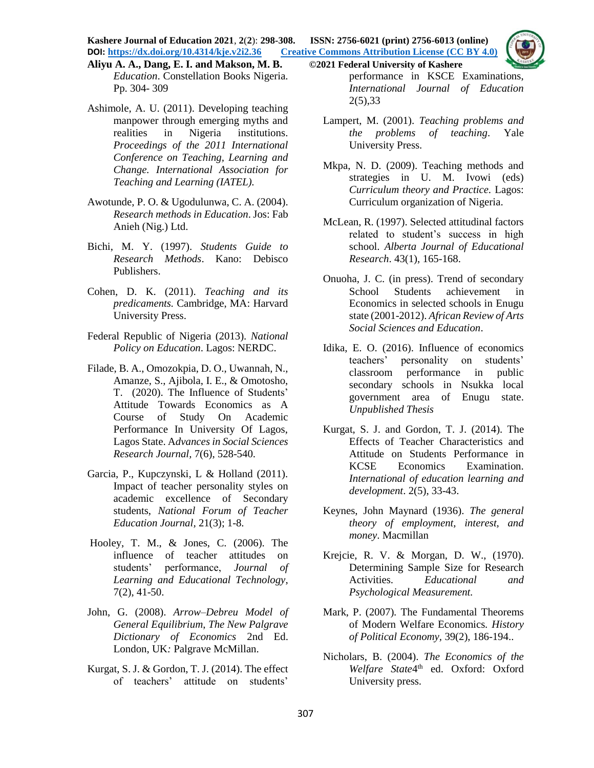**Kashere Journal of Education 2021**, **2**(**2**): **298-308. ISSN: 2756-6021 (print) 2756-6013 (online) DOI: <https://dx.doi.org/10.4314/kje.v2i2.36> [Creative Commons Attribution License](http://creativecommons.org/licenses/by/4.0/) (CC BY 4.0)** 

- **Aliyu A. A., Dang, E. I. and Makson, M. B. ©2021 Federal University of Kashere** *Education*. Constellation Books Nigeria. Pp. 304- 309
- Ashimole, A. U. (2011). Developing teaching manpower through emerging myths and realities in Nigeria institutions. *Proceedings of the 2011 International Conference on Teaching, Learning and Change. International Association for Teaching and Learning (IATEL).*
- Awotunde, P. O. & Ugodulunwa, C. A. (2004). *Research methods in Education*. Jos: Fab Anieh (Nig.) Ltd.
- Bichi, M. Y. (1997). *Students Guide to Research Methods*. Kano: Debisco Publishers.
- Cohen, D. K. (2011). *Teaching and its predicaments.* Cambridge, MA: Harvard University Press.
- Federal Republic of Nigeria (2013). *National Policy on Education*. Lagos: NERDC.
- Filade, B. A., Omozokpia, D. O., Uwannah, N., Amanze, S., Ajibola, I. E., & Omotosho, T. (2020). The Influence of Students' Attitude Towards Economics as A Course of Study On Academic Performance In University Of Lagos, Lagos State. A*dvances in Social Sciences Research Journal,* 7(6), 528-540.
- Garcia, P., Kupczynski, L & Holland (2011). Impact of teacher personality styles on academic excellence of Secondary students, *National Forum of Teacher Education Journal,* 21(3); 1-8.
- Hooley, T. M., & Jones, C. (2006). The influence of teacher attitudes on students' performance, *Journal of Learning and Educational Technology*, 7(2), 41-50.
- [John,](https://en.wikipedia.org/wiki/John_Geanakoplos) G. (2008). *Arrow–Debreu Model of General Equilibrium*, *The New Palgrave Dictionary of Economics* 2nd Ed. London, UK*:* Palgrave McMillan.
- Kurgat, S. J. & Gordon, T. J. (2014). The effect of teachers' attitude on students'

performance in KSCE Examinations, *International Journal of Education* 2(5),33

- Lampert, M. (2001). *Teaching problems and the problems of teaching*. Yale University Press.
- Mkpa, N. D. (2009). Teaching methods and strategies in U. M. Ivowi (eds) *Curriculum theory and Practice.* Lagos: Curriculum organization of Nigeria.
- McLean, R. (1997). Selected attitudinal factors related to student's success in high school. *Alberta Journal of Educational Research*. 43(1), 165-168.
- Onuoha, J. C. (in press). Trend of secondary School Students achievement in Economics in selected schools in Enugu state (2001-2012). *African Review of Arts Social Sciences and Education*.
- Idika, E. O. (2016). Influence of economics teachers' personality on students' classroom performance in public secondary schools in Nsukka local government area of Enugu state. *Unpublished Thesis*
- Kurgat, S. J. and Gordon, T. J. (2014). The Effects of Teacher Characteristics and Attitude on Students Performance in KCSE Economics Examination. *International of education learning and development*. 2(5), 33-43.
- Keynes, John Maynard (1936). *The general theory of employment, interest, and money*. Macmillan
- Krejcie, R. V. & Morgan, D. W., (1970). Determining Sample Size for Research Activities. *Educational and Psychological Measurement.*
- Mark, P. (2007)*.* The Fundamental Theorems of Modern Welfare Economics*. History of Political Economy,* 39(2), 186-194..
- Nicholars, B. (2004). *The Economics of the*  Welfare State<sup>4th</sup> ed. Oxford: Oxford University press.